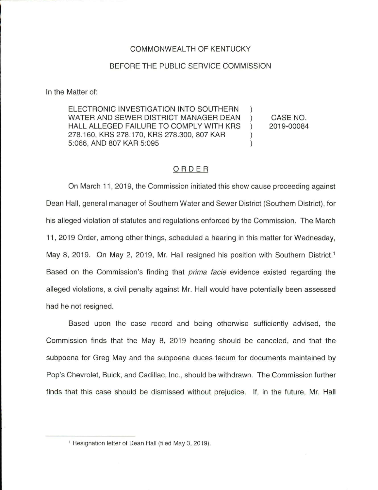## COMMONWEALTH OF KENTUCKY

## BEFORE THE PUBLIC SERVICE COMMISSION

In the Matter of:

ELECTRONIC INVESTIGATION INTO SOUTHERN WATER AND SEWER DISTRICT MANAGER DEAN ) HALL ALLEGED FAILURE TO COMPLY WITH KRS ) 278.160, KRS 278.170, KRS 278.300, 807 KAR ) 5:066, AND 807 KAR 5:095 )

CASE NO. 2019-00084

## ORDER

On March 11, 2019, the Commission initiated this show cause proceeding against Dean Hall, general manager of Southern Water and Sewer District (Southern District), for his alleged violation of statutes and regulations enforced by the Commission. The March 11 , 2019 Order, among other things, scheduled a hearing in this matter for Wednesday, May 8, 2019. On May 2, 2019, Mr. Hall resigned his position with Southern District.<sup>1</sup> Based on the Commission's finding that *prima facie* evidence existed regarding the alleged violations, a civil penalty against Mr. Hall would have potentially been assessed had he not resigned.

Based upon the case record and being otherwise sufficiently advised, the Commission finds that the May 8, 2019 hearing should be canceled, and that the subpoena for Greg May and the subpoena duces tecum for documents maintained by Pop's Chevrolet, Buick, and Cadillac, Inc., should be withdrawn. The Commission further finds that this case should be dismissed without prejudice. If, in the future, Mr. Hall

<sup>1</sup> Resignation letter of Dean Hall (filed May 3, 2019).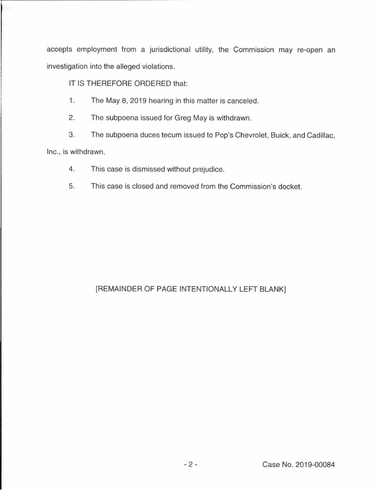accepts employment from a jurisdictional utility, the Commission may re-open an investigation into the alleged violations.

IT IS THEREFORE ORDERED that:

- 1. The May 8, 2019 hearing in this matter is canceled.
- 2. The subpoena issued for Greg May is withdrawn.
- 3. The subpoena duces tecum issued to Pop's Chevrolet, Buick, and Cadillac,

Inc., is withdrawn.

- 4. This case is dismissed without prejudice.
- 5. This case is closed and removed from the Commission's docket.

## [REMAINDER OF PAGE INTENTIONALLY LEFT BLANK]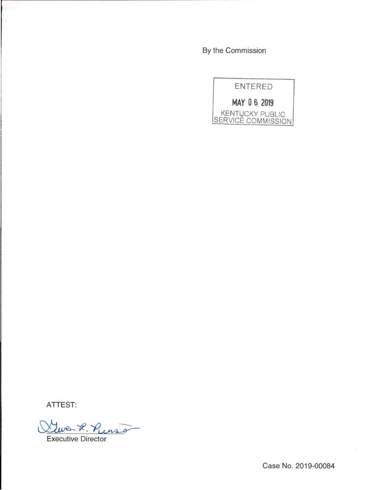By the Commission



ATTEST:

 $e$  R. Purso

Executive Director

Case No. 2019-00084